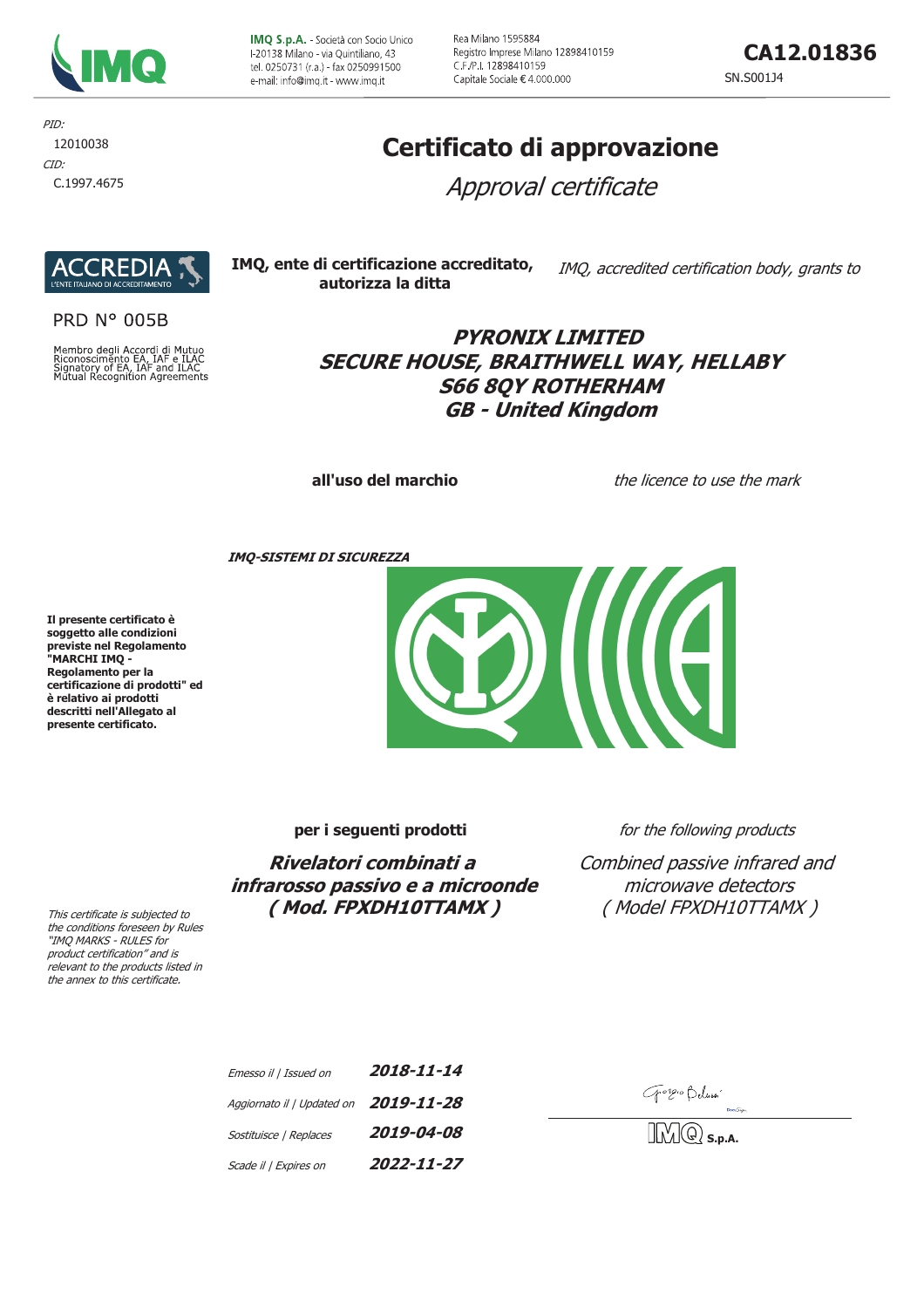

IMQ S.p.A. - Società con Socio Unico F20138 Milano - via Ouintiliano, 43 tel. 0250731 (r.a.) - fax 0250991500 e-mail: info@imq.it - www.imq.it

Rea Milano 1595884 Registro Imprese Milano 12898410159 C.F./P.I. 12898410159 Capitale Sociale € 4.000.000

CA12.01836

SN.S001J4

PID: 12010038 CID:

# C.1997.4675

# Certificato di approvazione

Approval certificate



**PRD N° 005B** 

Membro degli Accordi di Mutuo<br>Riconoscimento EA, IAF e ILAC<br>Signatory of EA, IAF and ILAC<br>Mutual Recognition Agreements



### **PYRONIX LIMITED** SECURE HOUSE, BRAITHWELL WAY, HELLABY **S66 8QY ROTHERHAM GB - United Kingdom**

all'uso del marchio

the licence to use the mark

**IMO-SISTEMI DI SICUREZZA** 

Il presente certificato è soggetto alle condizioni previste nel Regolamento<br>"MARCHI IMQ -Regolamento per la certificazione di prodotti" ed è relativo ai prodotti descritti nell'Allegato al presente certificato.



per i seguenti prodotti

Rivelatori combinati a infrarosso passivo e a microonde (Mod. FPXDH10TTAMX)

for the following products

Combined passive infrared and microwave detectors (Model FPXDH10TTAMX)

| Emesso il   Issued on      | 2018-11-14 |
|----------------------------|------------|
| Aggiornato il   Updated on | 2019-11-28 |
| Sostituisce   Replaces     | 2019-04-08 |
| Scade il   Expires on      | 2022-11-27 |

Gorgio Belussi

 $|\textcircled{c}\rangle$  s.d.a.

This certificate is subjected to the conditions foreseen by Rules "IMQ MARKS - RULES for product certification" and is relevant to the products listed in

the annex to this certificate.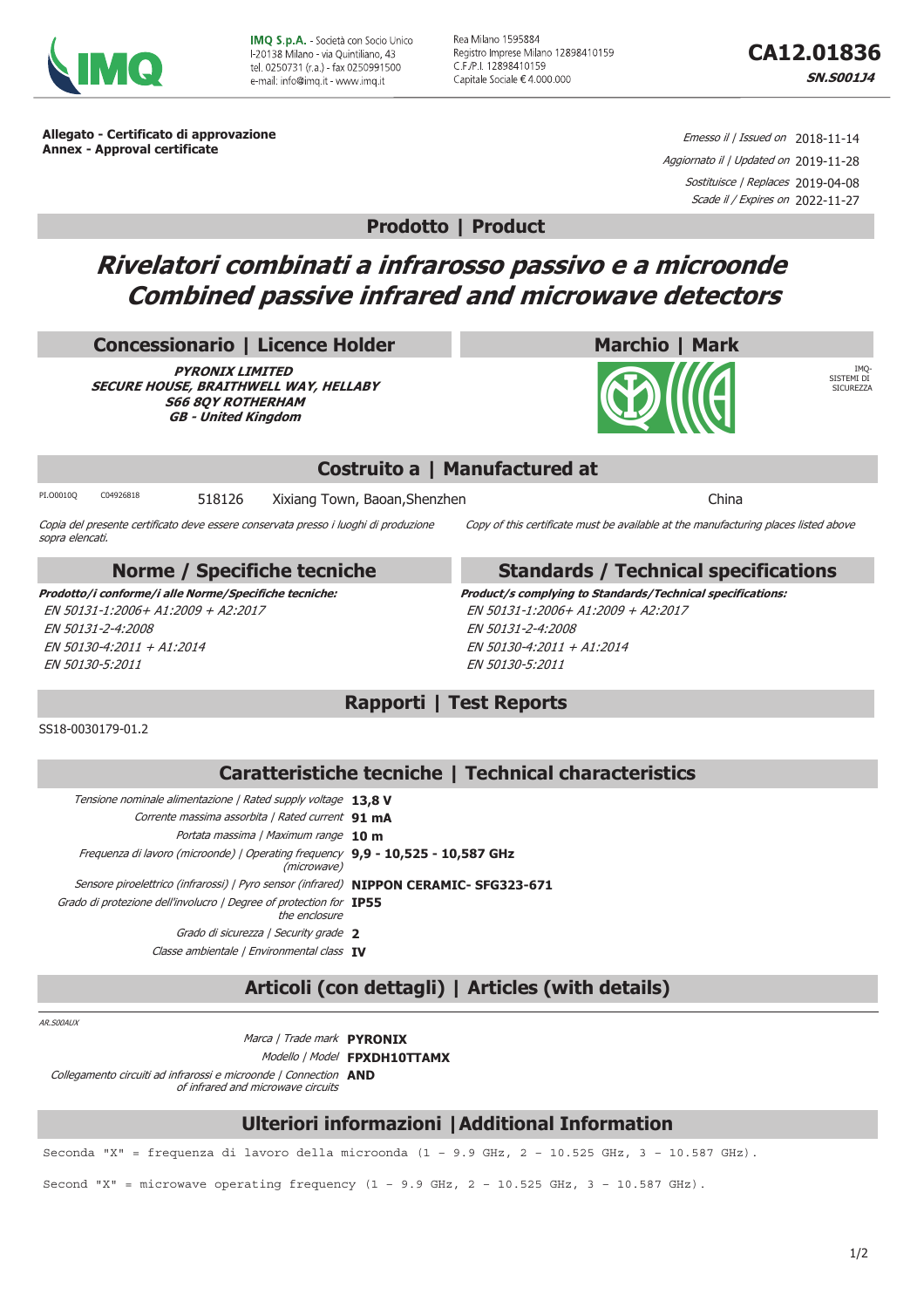

**IMO S.p.A. - Società con Socio Unico** E20138 Milano - via Quintiliano, 43 tel. 0250731 (r.a.) - fax 0250991500 e-mail: info@imq it - www.imq.it

Rea Milano 1595884 Registro Imprese Milano 12898410159 C.F./P.I. 12898410159 Capitale Sociale € 4.000.000

**IMO CICTEMI** DI

ASTEPIL DI<br>SICHREZZA

Allegato - Certificato di approvazione **Annex - Approval certificate** 

Emesso il / Issued on 2018-11-14 Aggiornato il | Updated on 2019-11-28 Sostituisce / Replaces 2019-04-08 Scade il / Expires on 2022-11-27

**Prodotto | Product** 

## Rivelatori combinati a infrarosso passivo e a microonde **Combined passive infrared and microwave detectors**

#### **Concessionario | Licence Holder**

**PYRONIX LIMITED** SECURE HOUSE, BRAITHWELL WAY, HELLABY **S66 80Y ROTHERHAM GB - United Kingdom** 

#### Costruito a | Manufactured at

C04926818 518126 Xixiang Town, Baoan, Shenzhen

Copia del presente certificato deve essere conservata presso i luoghi di produzione sopra elencati.

#### **Norme / Specifiche tecniche**

Prodotto/i conforme/i alle Norme/Specifiche tecniche: EN 50131-1:2006+ A1:2009 + A2:2017 EN 50131-2-4:2008 EN 50130-4:2011 + A1:2014 EN 50130-5:2011

#### **Standards / Technical specifications**

Copy of this certificate must be available at the manufacturing places listed above

China

**Marchio | Mark** 

Product/s complying to Standards/Technical specifications: EN 50131-1:2006+ A1:2009 + A2:2017 EN 50131-2-4:2008  $FN$  50130-4:2011 + A1:2014 EN 50130-5:2011

#### **Rapporti | Test Reports**

#### SS18-0030179-01.2

PT.O0010O

#### Caratteristiche tecniche | Technical characteristics

| Tensione nominale alimentazione   Rated supply voltage 13.8 V                                  |
|------------------------------------------------------------------------------------------------|
| Corrente massima assorbita   Rated current 91 mA                                               |
| Portata massima   Maximum range 10 m                                                           |
| Frequenza di lavoro (microonde)   Operating frequency 9,9 - 10,525 - 10,587 GHz<br>(microwave) |
| Sensore piroelettrico (infrarossi)   Pyro sensor (infrared) NIPPON CERAMIC- SFG323-671         |
| Grado di protezione dell'involucro   Degree of protection for <b>IP55</b><br>the enclosure     |
| Grado di sicurezza   Security grade 2                                                          |
| Classe ambientale   Environmental class IV                                                     |
|                                                                                                |

### Articoli (con dettagli) | Articles (with details)

AR.SOOAUX

Marca / Trade mark PYRONIX Modello | Model FPXDH10TTAMX Collegamento circuiti ad infrarossi e microonde | Connection AND of infrared and microwave circuits

#### **Ulteriori informazioni | Additional Information**

Seconda "X" = frequenza di lavoro della microonda (1 - 9.9 GHz, 2 - 10.525 GHz, 3 - 10.587 GHz).

Second "X" = microwave operating frequency  $(1 - 9.9$  GHz,  $2 - 10.525$  GHz,  $3 - 10.587$  GHz).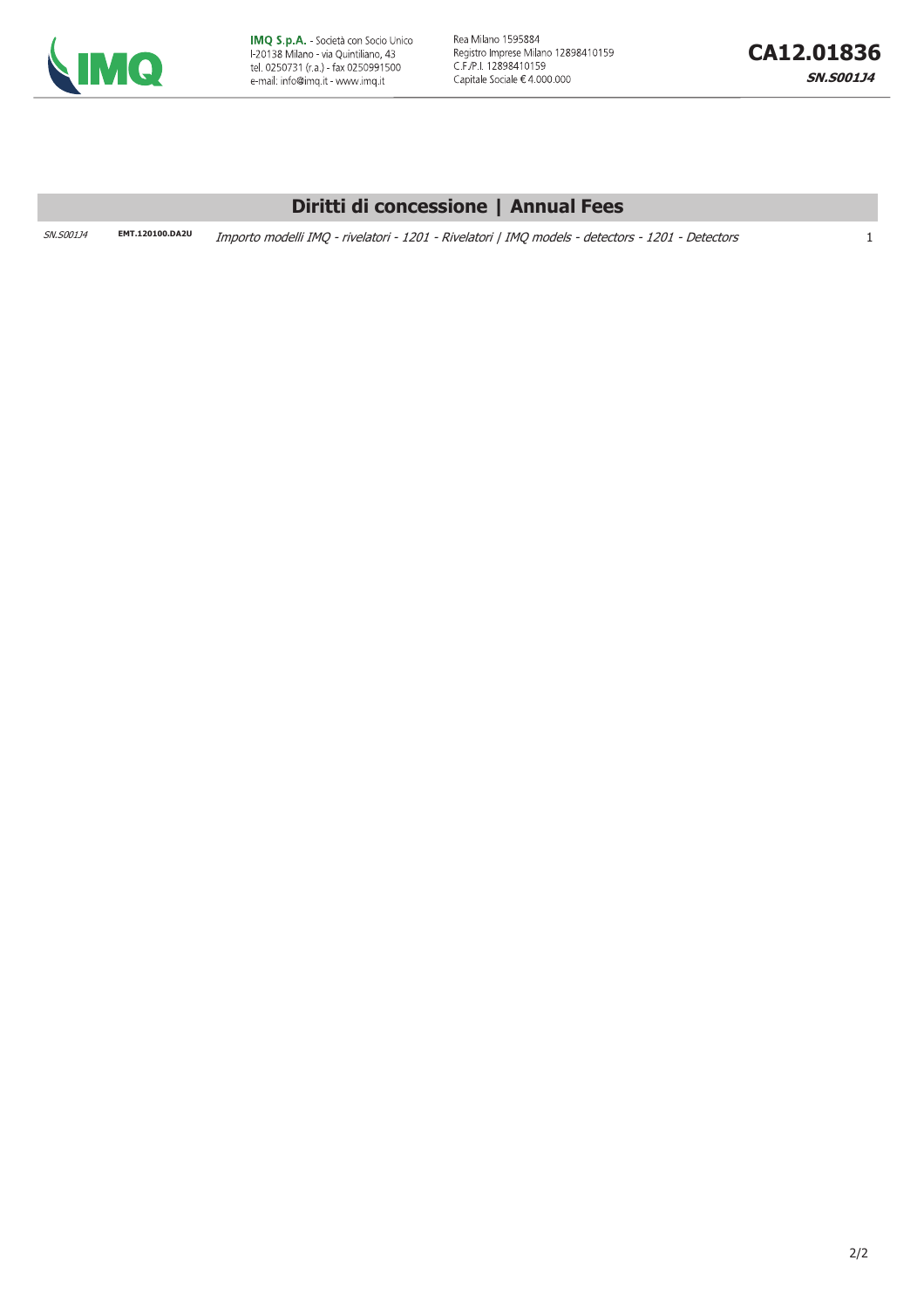

Rea Milano 1595884 Registro Imprese Milano 12898410159 C.F./P.I. 12898410159 Capitale Sociale €4.000.000

#### Diritti di concessione | Annual Fees

SN.S001J4

EMT.120100.DA2U Importo modelli IMQ - rivelatori - 1201 - Rivelatori | IMQ models - detectors - 1201 - Detectors

 $\mathbf{1}$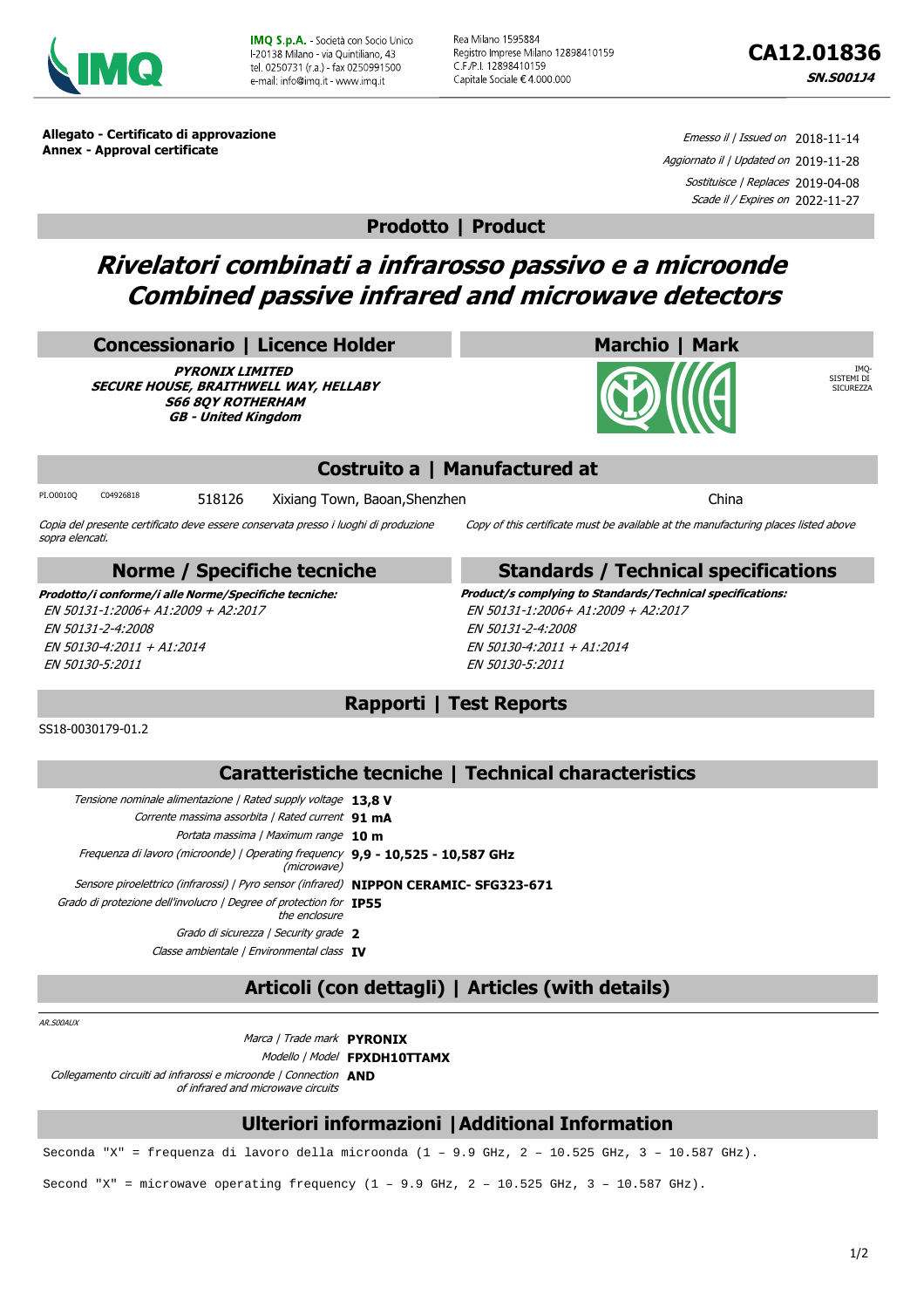

**IMO S.p.A.** - Società con Socio Unico L20138 Milano - via Quintiliano, 43 tel. 0250731 (r.a.) - fax 0250991500 e-mail: info@imq it - www.imq.it

Rea Milano 1595884 Registro Imprese Milano 12898410159 C.F./P.I. 12898410159 Capitale Sociale € 4.000.000

IMQ-SISTEMI DI SICUREZZA

**Allegato - Certificato di approvazione Annex - Approval certificate**

Emesso il / Issued on 2018-11-14 Aggiornato il | Updated on 2019-11-28 Sostituisce | Replaces 2019-04-08 Scade il / Expires on 2022-11-27

**Prodotto | Product**

## **Rivelatori combinati a infrarosso passivo e a microonde Combined passive infrared and microwave detectors**

#### **Concessionario | Licence Holder**

**PYRONIX LIMITED SECURE HOUSE, BRAITHWELL WAY, HELLABY S66 8QY ROTHERHAM GB - United Kingdom**

#### **Costruito a | Manufactured at**

PI.00010Q C04926818 518126 Xixiang Town, Baoan, Shenzhen

Copia del presente certificato deve essere conservata presso i luoghi di produzione sopra elencati.

#### **Norme / Specifiche tecniche**

EN 50131-1:2006+ A1:2009 + A2:2017 EN 50131-2-4:2008 EN 50130-4:2011 + A1:2014 EN 50130-5:2011

#### **Standards / Technical specifications**

Copy of this certificate must be available at the manufacturing places listed above

**Marchio | Mark**

**Prodotto/i conforme/i alle Norme/Specifiche tecniche: Product/s complying to Standards/Technical specifications:** EN 50131-1:2006+ A1:2009 + A2:2017 EN 50131-2-4:2008 EN 50130-4:2011 + A1:2014 EN 50130-5:2011

### **Rapporti | Test Reports**

#### SS18-0030179-01.2

#### **Caratteristiche tecniche | Technical characteristics**

| Tensione nominale alimentazione   Rated supply voltage 13.8 V                                  |
|------------------------------------------------------------------------------------------------|
| Corrente massima assorbita   Rated current 91 mA                                               |
| Portata massima   Maximum range 10 m                                                           |
| Frequenza di lavoro (microonde)   Operating frequency 9,9 - 10,525 - 10,587 GHz<br>(microwave) |
| Sensore piroelettrico (infrarossi)   Pyro sensor (infrared) NIPPON CERAMIC- SFG323-671         |
| Grado di protezione dell'involucro   Degree of protection for <b>IP55</b><br>the enclosure     |
| Grado di sicurezza   Security grade 2                                                          |
| Classe ambientale   Environmental class IV                                                     |
|                                                                                                |

## **Articoli (con dettagli) | Articles (with details)**

AR.S00AUX

Marca | Trade mark **PYRONIX** Modello | Model **FPXDH10TTAMX** Collegamento circuiti ad infrarossi e microonde | Connection **AND** of infrared and microwave circuits

#### **Ulteriori informazioni |Additional Information**

Seconda "X" = frequenza di lavoro della microonda (1 – 9.9 GHz, 2 – 10.525 GHz, 3 – 10.587 GHz).

Second "X" = microwave operating frequency  $(1 - 9.9$  GHz,  $2 - 10.525$  GHz,  $3 - 10.587$  GHz).